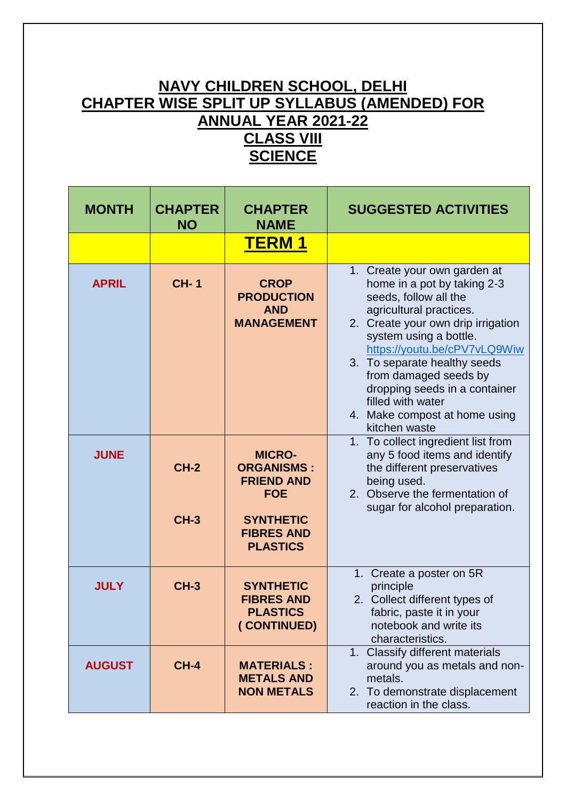## **NAVY CHILDREN SCHOOL, DELHI CHAPTER WISE SPLIT UP SYLLABUS (AMENDED) FOR ANNUAL YEAR 2021-22 CLASS VIII SCIENCE**

| <b>MONTH</b>  | <b>CHAPTER</b><br><b>NO</b> | <b>CHAPTER</b><br><b>NAME</b>                                                                                                     | <b>SUGGESTED ACTIVITIES</b>                                                                                                                                                                                                                                                                                                                                                      |
|---------------|-----------------------------|-----------------------------------------------------------------------------------------------------------------------------------|----------------------------------------------------------------------------------------------------------------------------------------------------------------------------------------------------------------------------------------------------------------------------------------------------------------------------------------------------------------------------------|
|               |                             | <u>TERM 1</u>                                                                                                                     |                                                                                                                                                                                                                                                                                                                                                                                  |
| <b>APRIL</b>  | <b>CH-1</b>                 | <b>CROP</b><br><b>PRODUCTION</b><br><b>AND</b><br><b>MANAGEMENT</b>                                                               | 1. Create your own garden at<br>home in a pot by taking 2-3<br>seeds, follow all the<br>agricultural practices.<br>2. Create your own drip irrigation<br>system using a bottle.<br>https://youtu.be/cPV7vLQ9Wiw<br>3. To separate healthy seeds<br>from damaged seeds by<br>dropping seeds in a container<br>filled with water<br>4. Make compost at home using<br>kitchen waste |
| <b>JUNE</b>   | $CH-2$<br>$CH-3$            | <b>MICRO-</b><br><b>ORGANISMS:</b><br><b>FRIEND AND</b><br><b>FOE</b><br><b>SYNTHETIC</b><br><b>FIBRES AND</b><br><b>PLASTICS</b> | 1. To collect ingredient list from<br>any 5 food items and identify<br>the different preservatives<br>being used.<br>2. Observe the fermentation of<br>sugar for alcohol preparation.                                                                                                                                                                                            |
| <b>JULY</b>   | <b>CH-3</b>                 | <b>SYNTHETIC</b><br><b>FIBRES AND</b><br><b>PLASTICS</b><br>(CONTINUED)                                                           | 1. Create a poster on 5R<br>principle<br>2. Collect different types of<br>fabric, paste it in your<br>notebook and write its<br>characteristics.                                                                                                                                                                                                                                 |
| <b>AUGUST</b> | <b>CH-4</b>                 | <b>MATERIALS:</b><br><b>METALS AND</b><br><b>NON METALS</b>                                                                       | 1. Classify different materials<br>around you as metals and non-<br>metals.<br>2. To demonstrate displacement<br>reaction in the class.                                                                                                                                                                                                                                          |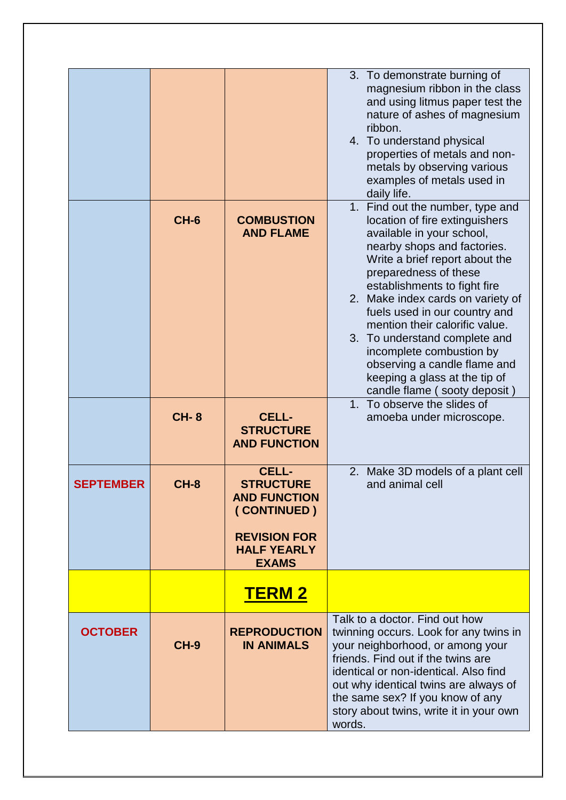|                  |             |                                                                                                                                     | 3. To demonstrate burning of<br>magnesium ribbon in the class<br>and using litmus paper test the<br>nature of ashes of magnesium<br>ribbon.<br>4. To understand physical<br>properties of metals and non-<br>metals by observing various<br>examples of metals used in<br>daily life.                                                                                                                                                                                                           |
|------------------|-------------|-------------------------------------------------------------------------------------------------------------------------------------|-------------------------------------------------------------------------------------------------------------------------------------------------------------------------------------------------------------------------------------------------------------------------------------------------------------------------------------------------------------------------------------------------------------------------------------------------------------------------------------------------|
|                  | $CH-6$      | <b>COMBUSTION</b><br><b>AND FLAME</b>                                                                                               | 1. Find out the number, type and<br>location of fire extinguishers<br>available in your school,<br>nearby shops and factories.<br>Write a brief report about the<br>preparedness of these<br>establishments to fight fire<br>2. Make index cards on variety of<br>fuels used in our country and<br>mention their calorific value.<br>3. To understand complete and<br>incomplete combustion by<br>observing a candle flame and<br>keeping a glass at the tip of<br>candle flame (sooty deposit) |
|                  | <b>CH-8</b> | <b>CELL-</b><br><b>STRUCTURE</b><br><b>AND FUNCTION</b>                                                                             | 1. To observe the slides of<br>amoeba under microscope.                                                                                                                                                                                                                                                                                                                                                                                                                                         |
| <b>SEPTEMBER</b> | CH-8        | <b>CELL-</b><br><b>STRUCTURE</b><br><b>AND FUNCTION</b><br>(CONTINUED)<br><b>REVISION FOR</b><br><b>HALF YEARLY</b><br><b>EXAMS</b> | 2. Make 3D models of a plant cell<br>and animal cell                                                                                                                                                                                                                                                                                                                                                                                                                                            |
|                  |             | <u>TERM 2</u>                                                                                                                       |                                                                                                                                                                                                                                                                                                                                                                                                                                                                                                 |
| <b>OCTOBER</b>   | <b>CH-9</b> | <b>REPRODUCTION</b><br><b>IN ANIMALS</b>                                                                                            | Talk to a doctor. Find out how<br>twinning occurs. Look for any twins in<br>your neighborhood, or among your<br>friends. Find out if the twins are<br>identical or non-identical. Also find<br>out why identical twins are always of<br>the same sex? If you know of any<br>story about twins, write it in your own<br>words.                                                                                                                                                                   |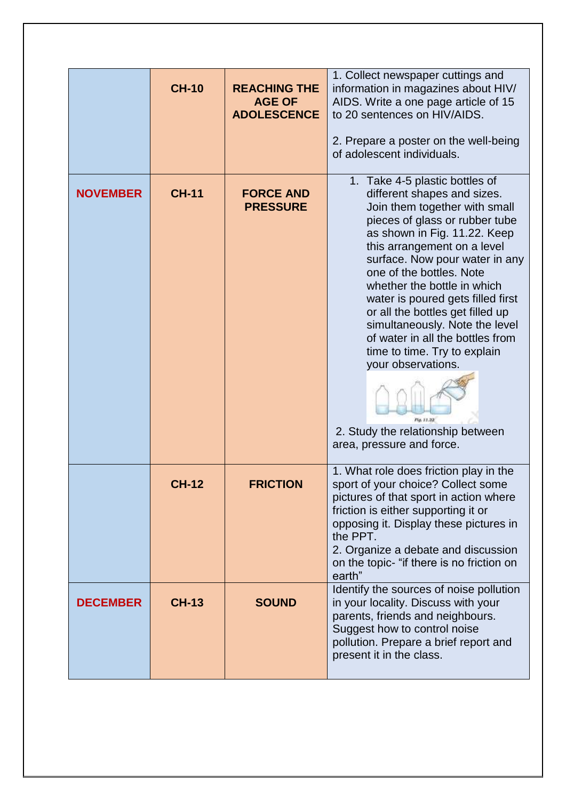|                 | <b>CH-10</b> | <b>REACHING THE</b><br><b>AGE OF</b><br><b>ADOLESCENCE</b> | 1. Collect newspaper cuttings and<br>information in magazines about HIV/<br>AIDS. Write a one page article of 15<br>to 20 sentences on HIV/AIDS.<br>2. Prepare a poster on the well-being<br>of adolescent individuals.                                                                                                                                                                                                                                                                                                                                                           |
|-----------------|--------------|------------------------------------------------------------|-----------------------------------------------------------------------------------------------------------------------------------------------------------------------------------------------------------------------------------------------------------------------------------------------------------------------------------------------------------------------------------------------------------------------------------------------------------------------------------------------------------------------------------------------------------------------------------|
| <b>NOVEMBER</b> | <b>CH-11</b> | <b>FORCE AND</b><br><b>PRESSURE</b>                        | 1. Take 4-5 plastic bottles of<br>different shapes and sizes.<br>Join them together with small<br>pieces of glass or rubber tube<br>as shown in Fig. 11.22. Keep<br>this arrangement on a level<br>surface. Now pour water in any<br>one of the bottles. Note<br>whether the bottle in which<br>water is poured gets filled first<br>or all the bottles get filled up<br>simultaneously. Note the level<br>of water in all the bottles from<br>time to time. Try to explain<br>your observations.<br>Fig. 11.22<br>2. Study the relationship between<br>area, pressure and force. |
|                 | <b>CH-12</b> | <b>FRICTION</b>                                            | 1. What role does friction play in the<br>sport of your choice? Collect some<br>pictures of that sport in action where<br>friction is either supporting it or<br>opposing it. Display these pictures in<br>the PPT.<br>2. Organize a debate and discussion<br>on the topic- "if there is no friction on<br>earth"                                                                                                                                                                                                                                                                 |
| <b>DECEMBER</b> | <b>CH-13</b> | <b>SOUND</b>                                               | Identify the sources of noise pollution<br>in your locality. Discuss with your<br>parents, friends and neighbours.<br>Suggest how to control noise<br>pollution. Prepare a brief report and<br>present it in the class.                                                                                                                                                                                                                                                                                                                                                           |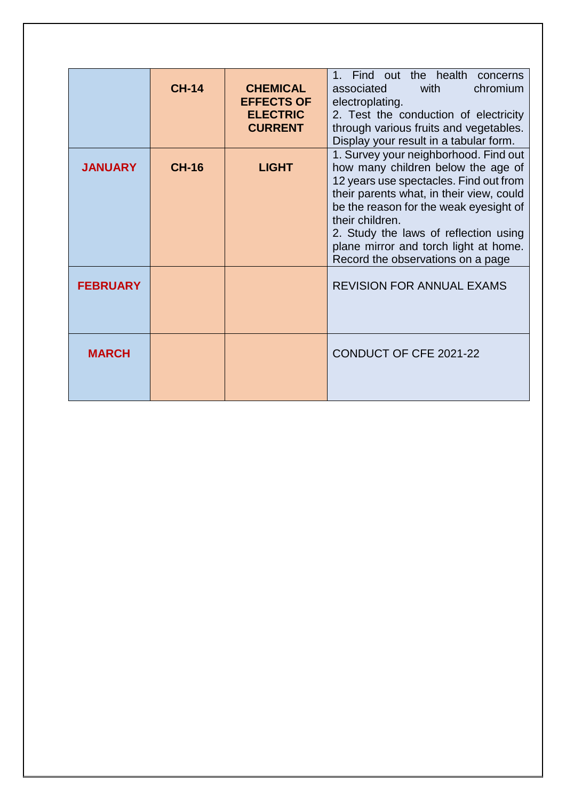|                 | <b>CH-14</b> | <b>CHEMICAL</b><br><b>EFFECTS OF</b><br><b>ELECTRIC</b><br><b>CURRENT</b> | 1. Find out the health<br>concerns<br>chromium<br>associated<br>with<br>electroplating.<br>2. Test the conduction of electricity<br>through various fruits and vegetables.<br>Display your result in a tabular form.                                                                                                                                  |
|-----------------|--------------|---------------------------------------------------------------------------|-------------------------------------------------------------------------------------------------------------------------------------------------------------------------------------------------------------------------------------------------------------------------------------------------------------------------------------------------------|
| <b>JANUARY</b>  | <b>CH-16</b> | <b>LIGHT</b>                                                              | 1. Survey your neighborhood. Find out<br>how many children below the age of<br>12 years use spectacles. Find out from<br>their parents what, in their view, could<br>be the reason for the weak eyesight of<br>their children.<br>2. Study the laws of reflection using<br>plane mirror and torch light at home.<br>Record the observations on a page |
| <b>FEBRUARY</b> |              |                                                                           | <b>REVISION FOR ANNUAL EXAMS</b>                                                                                                                                                                                                                                                                                                                      |
| <b>MARCH</b>    |              |                                                                           | <b>CONDUCT OF CFE 2021-22</b>                                                                                                                                                                                                                                                                                                                         |